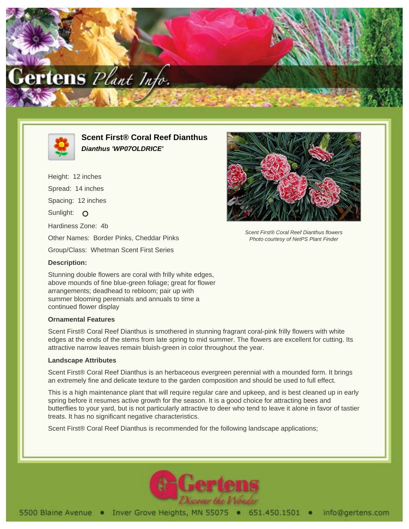



# **Scent First® Coral Reef Dianthus Dianthus 'WP07OLDRICE'**

Height: 12 inches Spread: 14 inches Spacing: 12 inches Sunlight: O Hardiness Zone: 4b Other Names: Border Pinks, Cheddar Pinks Group/Class: Whetman Scent First Series



Scent First® Coral Reef Dianthus flowers Photo courtesy of NetPS Plant Finder

## **Description:**

Stunning double flowers are coral with frilly white edges, above mounds of fine blue-green foliage; great for flower arrangements; deadhead to rebloom; pair up with summer blooming perennials and annuals to time a continued flower display

## **Ornamental Features**

Scent First® Coral Reef Dianthus is smothered in stunning fragrant coral-pink frilly flowers with white edges at the ends of the stems from late spring to mid summer. The flowers are excellent for cutting. Its attractive narrow leaves remain bluish-green in color throughout the year.

#### **Landscape Attributes**

Scent First® Coral Reef Dianthus is an herbaceous evergreen perennial with a mounded form. It brings an extremely fine and delicate texture to the garden composition and should be used to full effect.

This is a high maintenance plant that will require regular care and upkeep, and is best cleaned up in early spring before it resumes active growth for the season. It is a good choice for attracting bees and butterflies to your yard, but is not particularly attractive to deer who tend to leave it alone in favor of tastier treats. It has no significant negative characteristics.

Scent First® Coral Reef Dianthus is recommended for the following landscape applications;